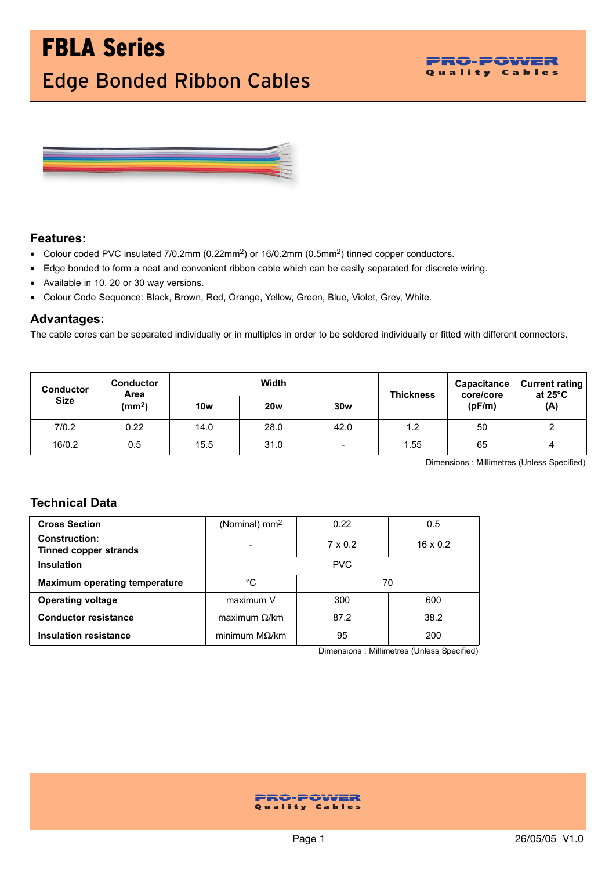# FBLA Series Edge Bonded Ribbon Cables





### **Features:**

- Colour coded PVC insulated 7/0.2mm (0.22mm<sup>2</sup>) or 16/0.2mm (0.5mm<sup>2</sup>) tinned copper conductors.
- Edge bonded to form a neat and convenient ribbon cable which can be easily separated for discrete wiring.
- Available in 10, 20 or 30 way versions.
- Colour Code Sequence: Black, Brown, Red, Orange, Yellow, Green, Blue, Violet, Grey, White.

### **Advantages:**

The cable cores can be separated individually or in multiples in order to be soldered individually or fitted with different connectors.

| <b>Conductor</b><br><b>Size</b> | <b>Conductor</b><br>Area<br>(mm <sup>2</sup> ) | Width      |            |                          | <b>Thickness</b> | <b>Capacitance</b><br>core/core | <b>Current rating</b><br>at $25^{\circ}$ C |
|---------------------------------|------------------------------------------------|------------|------------|--------------------------|------------------|---------------------------------|--------------------------------------------|
|                                 |                                                | <b>10w</b> | <b>20w</b> | 30w                      |                  | (pF/m)                          | (A)                                        |
| 7/0.2                           | 0.22                                           | 14.0       | 28.0       | 42.0                     | 1.2              | 50                              | ົ                                          |
| 16/0.2                          | 0.5                                            | 15.5       | 31.0       | $\overline{\phantom{0}}$ | 1.55             | 65                              | 4                                          |

Dimensions : Millimetres (Unless Specified)

## **Technical Data**

| <b>Cross Section</b>                                 | (Nominal) mm <sup>2</sup> | 0.22           | 0.5             |
|------------------------------------------------------|---------------------------|----------------|-----------------|
| <b>Construction:</b><br><b>Tinned copper strands</b> |                           | $7 \times 0.2$ | $16 \times 0.2$ |
| <b>Insulation</b>                                    |                           | <b>PVC</b>     |                 |
| <b>Maximum operating temperature</b>                 | °C<br>70                  |                |                 |
| <b>Operating voltage</b>                             | maximum V                 | 300            | 600             |
| <b>Conductor resistance</b>                          | maximum $\Omega$ /km      | 87.2           | 38.2            |
| <b>Insulation resistance</b>                         | minimum $M\Omega/km$      | 95             | 200             |

Dimensions : Millimetres (Unless Specified)

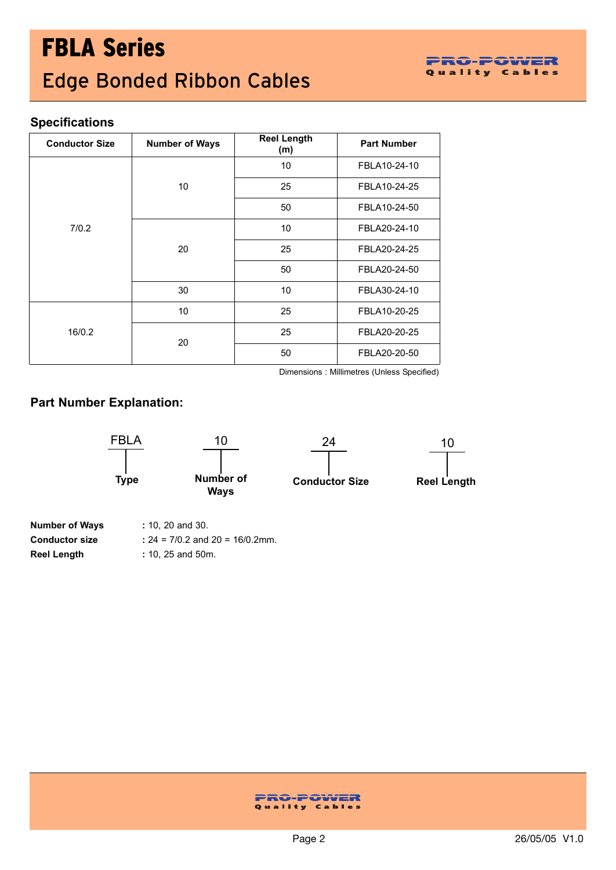# **Specifications**

| <b>Conductor Size</b> | <b>Number of Ways</b> | <b>Reel Length</b><br>(m) | <b>Part Number</b> |
|-----------------------|-----------------------|---------------------------|--------------------|
|                       |                       | 10                        | FBLA10-24-10       |
|                       | 10                    | 25                        | FBLA10-24-25       |
|                       |                       | 50                        | FBLA10-24-50       |
| 7/0.2                 |                       | 10                        | FBLA20-24-10       |
|                       | 20<br>30              | 25                        | FBLA20-24-25       |
|                       |                       | 50                        | FBLA20-24-50       |
|                       |                       | 10                        | FBLA30-24-10       |
|                       | 10                    | 25                        | FBLA10-20-25       |
| 16/0.2                | 20                    | 25                        | FBLA20-20-25       |
|                       |                       | 50                        | FBLA20-20-50       |

Dimensions : Millimetres (Unless Specified)

## **Part Number Explanation:**



| <b>Number of Ways</b> | $: 10, 20$ and 30.                   |
|-----------------------|--------------------------------------|
| <b>Conductor size</b> | : $24 = 7/0.2$ and $20 = 16/0.2$ mm. |
| <b>Reel Length</b>    | $: 10, 25$ and 50m.                  |